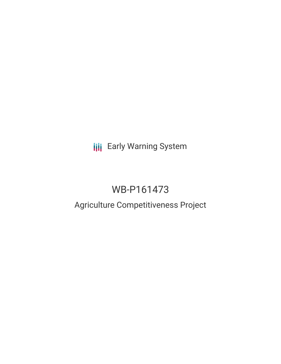**III** Early Warning System

# WB-P161473

## Agriculture Competitiveness Project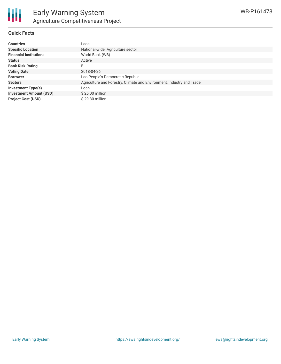

#### **Quick Facts**

| <b>Countries</b>               | Laos                                                                  |
|--------------------------------|-----------------------------------------------------------------------|
| <b>Specific Location</b>       | National-wide. Agriculture sector                                     |
| <b>Financial Institutions</b>  | World Bank (WB)                                                       |
| <b>Status</b>                  | Active                                                                |
| <b>Bank Risk Rating</b>        | B                                                                     |
| <b>Voting Date</b>             | 2018-04-26                                                            |
| <b>Borrower</b>                | Lao People's Democratic Republic                                      |
| <b>Sectors</b>                 | Agriculture and Forestry, Climate and Environment, Industry and Trade |
| <b>Investment Type(s)</b>      | Loan                                                                  |
| <b>Investment Amount (USD)</b> | \$25.00 million                                                       |
| <b>Project Cost (USD)</b>      | \$29.30 million                                                       |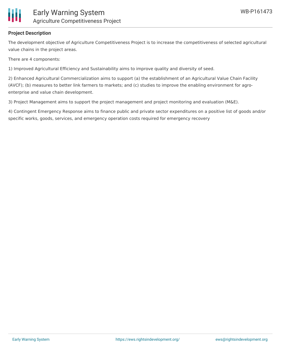

### **Project Description**

The development objective of Agriculture Competitiveness Project is to increase the competitiveness of selected agricultural value chains in the project areas.

There are 4 components:

1) Improved Agricultural Efficiency and Sustainability aims to improve quality and diversity of seed.

2) Enhanced Agricultural Commercialization aims to support (a) the establishment of an Agricultural Value Chain Facility (AVCF); (b) measures to better link farmers to markets; and (c) studies to improve the enabling environment for agroenterprise and value chain development.

3) Project Management aims to support the project management and project monitoring and evaluation (M&E).

4) Contingent Emergency Response aims to finance public and private sector expenditures on a positive list of goods and/or specific works, goods, services, and emergency operation costs required for emergency recovery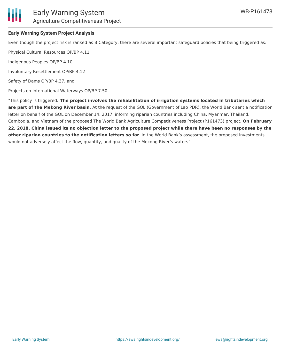

### Early Warning System Agriculture Competitiveness Project

#### **Early Warning System Project Analysis**

Even though the project risk is ranked as B Category, there are several important safeguard policies that being triggered as:

Physical Cultural Resources OP/BP 4.11

Indigenous Peoples OP/BP 4.10

Involuntary Resettlement OP/BP 4.12

Safety of Dams OP/BP 4.37, and

Projects on International Waterways OP/BP 7.50

"This policy is triggered. **The project involves the rehabilitation of irrigation systems located in tributaries which are part of the Mekong River basin**. At the request of the GOL (Government of Lao PDR), the World Bank sent a notification letter on behalf of the GOL on December 14, 2017, informing riparian countries including China, Myanmar, Thailand, Cambodia, and Vietnam of the proposed The World Bank Agriculture Competitiveness Project (P161473) project. **On February** 22, 2018, China issued its no objection letter to the proposed project while there have been no responses by the **other riparian countries to the notification letters so far**. In the World Bank's assessment, the proposed investments would not adversely affect the flow, quantity, and quality of the Mekong River's waters".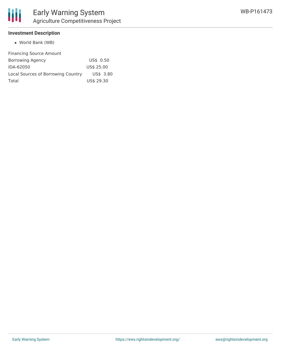#### **Investment Description**

World Bank (WB)

| <b>Financing Source Amount</b>     |            |
|------------------------------------|------------|
| Borrowing Agency                   | US\$ 0.50  |
| IDA-62050                          | US\$ 25.00 |
| Local Sources of Borrowing Country | US\$ 3.80  |
| Total                              | US\$ 29.30 |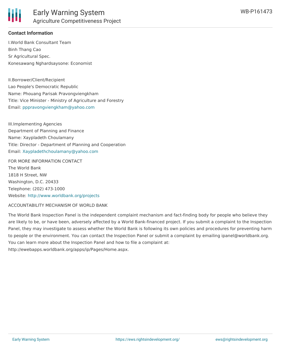

#### **Contact Information**

I.World Bank Consultant Team Binh Thang Cao Sr Agricultural Spec. Konesawang Nghardsaysone: Economist

II.Borrower/Client/Recipient Lao People's Democratic Republic Name: Phouang Parisak Pravongviengkham Title: Vice Minister - Ministry of Agriculture and Forestry Email: [pppravongviengkham@yahoo.com](mailto:pppravongviengkham@yahoo.com)

III.Implementing Agencies Department of Planning and Finance Name: Xaypladeth Choulamany Title: Director - Department of Planning and Cooperation Email: [Xaypladethchoulamany@yahoo.com](mailto:Xaypladethchoulamany@yahoo.com)

FOR MORE INFORMATION CONTACT The World Bank 1818 H Street, NW Washington, D.C. 20433 Telephone: (202) 473-1000 Website: <http://www.worldbank.org/projects>

#### ACCOUNTABILITY MECHANISM OF WORLD BANK

The World Bank Inspection Panel is the independent complaint mechanism and fact-finding body for people who believe they are likely to be, or have been, adversely affected by a World Bank-financed project. If you submit a complaint to the Inspection Panel, they may investigate to assess whether the World Bank is following its own policies and procedures for preventing harm to people or the environment. You can contact the Inspection Panel or submit a complaint by emailing ipanel@worldbank.org. You can learn more about the Inspection Panel and how to file a complaint at: http://ewebapps.worldbank.org/apps/ip/Pages/Home.aspx.